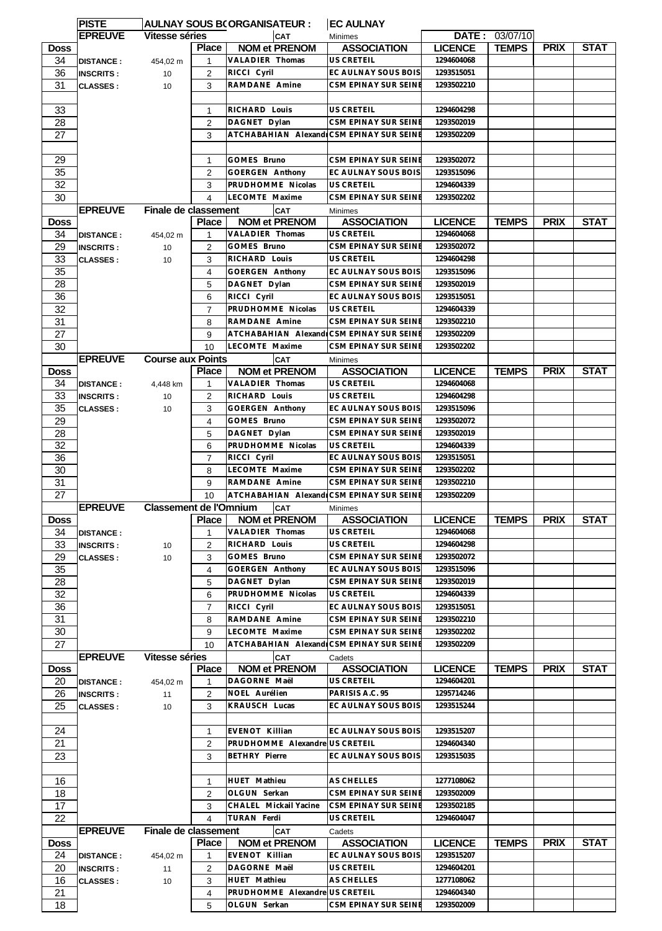|                   | <b>PISTE</b>                         |                               |                | <b>AULNAY SOUS B(ORGANISATEUR:</b>             | <b>EC AULNAY</b>                          |                              |                |             |             |
|-------------------|--------------------------------------|-------------------------------|----------------|------------------------------------------------|-------------------------------------------|------------------------------|----------------|-------------|-------------|
|                   | <b>EPREUVE</b>                       | <b>Vitesse séries</b>         | <b>Place</b>   | <b>CAT</b>                                     | Minimes                                   |                              | DATE: 03/07/10 | <b>PRIX</b> |             |
| <b>Doss</b><br>34 | <b>DISTANCE:</b>                     |                               | 1              | <b>NOM et PRENOM</b><br><b>VALADIER Thomas</b> | <b>ASSOCIATION</b><br>US CRETEIL          | <b>LICENCE</b><br>1294604068 | <b>TEMPS</b>   |             | <b>STAT</b> |
| 36                | <b>INSCRITS:</b>                     | 454,02 m<br>10                | $\overline{2}$ | RICCI Cyril                                    | EC AULNAY SOUS BOIS                       | 1293515051                   |                |             |             |
| 31                | <b>CLASSES:</b>                      | 10                            | 3              | RAMDANE Amine                                  | CSM EPINAY SUR SEINE                      | 1293502210                   |                |             |             |
|                   |                                      |                               |                |                                                |                                           |                              |                |             |             |
| 33                |                                      |                               | $\mathbf{1}$   | RICHARD Louis                                  | <b>US CRETEIL</b>                         | 1294604298                   |                |             |             |
| 28                |                                      |                               | 2              | DAGNET Dylan                                   | CSM EPINAY SUR SEINE                      | 1293502019                   |                |             |             |
| 27                |                                      |                               | 3              | ATCHABAHIAN Alexandr CSM EPINAY SUR SEINE      |                                           | 1293502209                   |                |             |             |
|                   |                                      |                               |                |                                                |                                           |                              |                |             |             |
| 29                |                                      |                               | 1              | GOMES Bruno                                    | CSM EPINAY SUR SEINE                      | 1293502072                   |                |             |             |
| 35                |                                      |                               | 2              | GOERGEN Anthony                                | EC AULNAY SOUS BOIS                       | 1293515096                   |                |             |             |
| 32                |                                      |                               | 3              | PRUDHOMME Nicolas                              | <b>US CRETEIL</b>                         | 1294604339                   |                |             |             |
| 30                | <b>EPREUVE</b>                       |                               | 4              | LECOMTE Maxime                                 | CSM EPINAY SUR SEINE                      | 1293502202                   |                |             |             |
| <b>Doss</b>       |                                      | <b>Finale de classement</b>   | <b>Place</b>   | CAT<br><b>NOM et PRENOM</b>                    | Minimes<br><b>ASSOCIATION</b>             | <b>LICENCE</b>               | <b>TEMPS</b>   | <b>PRIX</b> | <b>STAT</b> |
| 34                | <b>DISTANCE:</b>                     | 454,02 m                      |                | VALADIER Thomas                                | <b>US CRETEIL</b>                         | 1294604068                   |                |             |             |
| 29                | <b>INSCRITS:</b>                     | 10                            | 2              | GOMES Bruno                                    | CSM EPINAY SUR SEINE                      | 1293502072                   |                |             |             |
| 33                | <b>CLASSES:</b>                      | 10                            | 3              | RICHARD Louis                                  | <b>US CRETEIL</b>                         | 1294604298                   |                |             |             |
| 35                |                                      |                               | 4              | GOERGEN Anthony                                | EC AULNAY SOUS BOIS                       | 1293515096                   |                |             |             |
| 28                |                                      |                               | 5              | DAGNET Dylan                                   | CSM EPINAY SUR SEINE                      | 1293502019                   |                |             |             |
| 36                |                                      |                               | 6              | RICCI Cyril                                    | EC AULNAY SOUS BOIS                       | 1293515051                   |                |             |             |
| 32                |                                      |                               | $\overline{7}$ | PRUDHOMME Nicolas                              | <b>US CRETEIL</b>                         | 1294604339                   |                |             |             |
| 31                |                                      |                               | 8              | RAMDANE Amine                                  | CSM EPINAY SUR SEINE                      | 1293502210                   |                |             |             |
| 27                |                                      |                               | 9              | ATCHABAHIAN Alexandr CSM EPINAY SUR SEINE      |                                           | 1293502209                   |                |             |             |
| 30                |                                      |                               | 10             | LECOMTE Maxime                                 | CSM EPINAY SUR SEINE                      | 1293502202                   |                |             |             |
|                   | <b>EPREUVE</b>                       | <b>Course aux Points</b>      |                | <b>CAT</b>                                     | Minimes                                   |                              |                |             |             |
| <b>Doss</b>       |                                      |                               | <b>Place</b>   | <b>NOM et PRENOM</b><br><b>VALADIER Thomas</b> | <b>ASSOCIATION</b><br><b>US CRETEIL</b>   | <b>LICENCE</b><br>1294604068 | <b>TEMPS</b>   | <b>PRIX</b> | <b>STAT</b> |
| 34<br>33          | <b>DISTANCE:</b>                     | 4,448 km                      | 1              | <b>RICHARD Louis</b>                           | <b>US CRETEIL</b>                         | 1294604298                   |                |             |             |
| 35                | <b>INSCRITS:</b><br><b>CLASSES:</b>  | 10<br>10                      | 2<br>3         | <b>GOERGEN Anthony</b>                         | EC AULNAY SOUS BOIS                       | 1293515096                   |                |             |             |
| 29                |                                      |                               | 4              | GOMES Bruno                                    | CSM EPINAY SUR SEINE                      | 1293502072                   |                |             |             |
| 28                |                                      |                               | 5              | DAGNET Dylan                                   | CSM EPINAY SUR SEINE                      | 1293502019                   |                |             |             |
| $\overline{32}$   |                                      |                               | 6              | PRUDHOMME Nicolas                              | <b>US CRETEIL</b>                         | 1294604339                   |                |             |             |
| 36                |                                      |                               | $\overline{7}$ | RICCI Cyril                                    | EC AULNAY SOUS BOIS                       | 1293515051                   |                |             |             |
| 30                |                                      |                               | 8              | LECOMTE Maxime                                 | CSM EPINAY SUR SEINE                      | 1293502202                   |                |             |             |
| 31                |                                      |                               | 9              | RAMDANE Amine                                  | CSM EPINAY SUR SEINE                      | 1293502210                   |                |             |             |
| 27                |                                      |                               | 10             | ATCHABAHIAN Alexandr CSM EPINAY SUR SEINE      |                                           | 1293502209                   |                |             |             |
|                   | <b>EPREUVE</b>                       | <b>Classement de l'Omnium</b> |                | <b>CAT</b>                                     | Minimes                                   |                              |                |             |             |
| Doss              |                                      |                               | <b>Place</b>   | <b>NOM et PRENOM</b><br>VALADIER Thomas        | <b>ASSOCIATION</b>                        | <b>LICENCE</b>               | TEMPS          | <b>PRIX</b> | <b>STAT</b> |
| 34<br>33          | <b>DISTANCE:</b><br><b>INSCRITS:</b> |                               | 1<br>2         | RICHARD Louis                                  | US CRETEIL<br>US CRETEIL                  | 1294604068<br>1294604298     |                |             |             |
| 29                | <b>CLASSES:</b>                      | 10<br>10                      | 3              | GOMES Bruno                                    | <b>CSM EPINAY SUR SEINE</b>               | 1293502072                   |                |             |             |
| 35                |                                      |                               | 4              | <b>GOERGEN Anthony</b>                         | EC AULNAY SOUS BOIS                       | 1293515096                   |                |             |             |
| 28                |                                      |                               | 5              | DAGNET Dylan                                   | CSM EPINAY SUR SEINE                      | 1293502019                   |                |             |             |
| 32                |                                      |                               | 6              | PRUDHOMME Nicolas                              | US CRETEIL                                | 1294604339                   |                |             |             |
| 36                |                                      |                               | 7              | RICCI Cyril                                    | EC AULNAY SOUS BOIS                       | 1293515051                   |                |             |             |
| 31                |                                      |                               | 8              | RAMDANE Amine                                  | CSM EPINAY SUR SEINE                      | 1293502210                   |                |             |             |
| 30                |                                      |                               | 9              | LECOMTE Maxime                                 | CSM EPINAY SUR SEINE                      | 1293502202                   |                |             |             |
| 27                |                                      |                               | 10             | ATCHABAHIAN Alexandr CSM EPINAY SUR SEINE      |                                           | 1293502209                   |                |             |             |
|                   | <b>EPREUVE</b>                       | <b>Vitesse séries</b>         |                | <b>CAT</b>                                     | Cadets                                    |                              |                |             |             |
| <b>Doss</b>       |                                      |                               | <b>Place</b>   | <b>NOM et PRENOM</b>                           | <b>ASSOCIATION</b>                        | <b>LICENCE</b>               | <b>TEMPS</b>   | <b>PRIX</b> | <b>STAT</b> |
| 20<br>26          | <b>DISTANCE:</b><br><b>INSCRITS:</b> | 454,02 m<br>11                | 1<br>2         | DAGORNE Maël<br>NOEL Aurélien                  | US CRETEIL<br>PARISIS A.C. 95             | 1294604201<br>1295714246     |                |             |             |
| 25                | <b>CLASSES:</b>                      | 10                            | 3              | KRAUSCH Lucas                                  | EC AULNAY SOUS BOIS                       | 1293515244                   |                |             |             |
|                   |                                      |                               |                |                                                |                                           |                              |                |             |             |
| 24                |                                      |                               | 1              | EVENOT Killian                                 | EC AULNAY SOUS BOIS                       | 1293515207                   |                |             |             |
| 21                |                                      |                               | 2              | PRUDHOMME Alexandre US CRETEIL                 |                                           | 1294604340                   |                |             |             |
| 23                |                                      |                               | 3              | <b>BETHRY Pierre</b>                           | EC AULNAY SOUS BOIS                       | 1293515035                   |                |             |             |
|                   |                                      |                               |                |                                                |                                           |                              |                |             |             |
| 16                |                                      |                               | 1              | HUET Mathieu                                   | AS CHELLES                                | 1277108062                   |                |             |             |
| 18                |                                      |                               | 2              | OLGUN Serkan                                   | CSM EPINAY SUR SEINE                      | 1293502009                   |                |             |             |
| 17                |                                      |                               | 3              | CHALEL Mickail Yacine                          | CSM EPINAY SUR SEINE                      | 1293502185                   |                |             |             |
| 22                |                                      |                               | 4              | TURAN Ferdi                                    | US CRETEIL                                | 1294604047                   |                |             |             |
|                   | <b>EPREUVE</b>                       | Finale de classement          |                | <b>CAT</b>                                     | Cadets                                    |                              |                |             |             |
| <b>Doss</b><br>24 |                                      |                               | <b>Place</b>   | <b>NOM et PRENOM</b><br>EVENOT Killian         | <b>ASSOCIATION</b><br>EC AULNAY SOUS BOIS | <b>LICENCE</b><br>1293515207 | <b>TEMPS</b>   | <b>PRIX</b> | <b>STAT</b> |
| 20                | <b>DISTANCE:</b><br><b>INSCRITS:</b> | 454,02 m<br>11                | 1<br>2         | DAGORNE Maël                                   | US CRETEIL                                | 1294604201                   |                |             |             |
| 16                | <b>CLASSES:</b>                      | 10                            | 3              | <b>HUET</b> Mathieu                            | <b>AS CHELLES</b>                         | 1277108062                   |                |             |             |
|                   |                                      |                               |                |                                                |                                           |                              |                |             |             |
| 21                |                                      |                               | 4              | PRUDHOMME Alexandre US CRETEIL                 |                                           | 1294604340                   |                |             |             |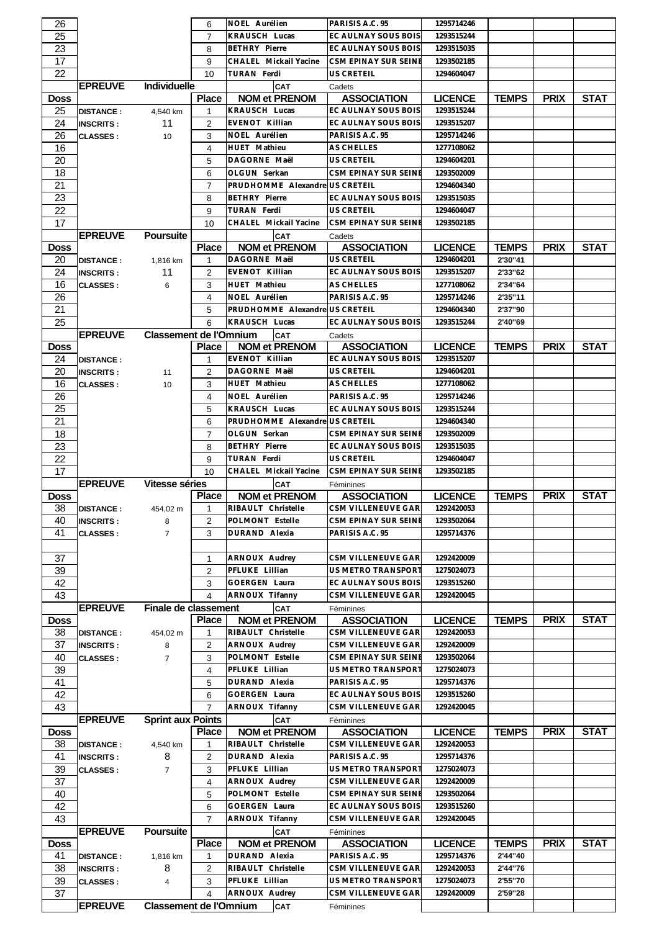| 26              |                  |                               | 6              | NOEL Aurélien                              | PARISIS A.C. 95                          | 1295714246                   |              |             |             |
|-----------------|------------------|-------------------------------|----------------|--------------------------------------------|------------------------------------------|------------------------------|--------------|-------------|-------------|
| 25              |                  |                               | $\overline{7}$ | KRAUSCH Lucas                              | EC AULNAY SOUS BOIS                      | 1293515244                   |              |             |             |
| 23              |                  |                               |                | <b>BETHRY Pierre</b>                       | EC AULNAY SOUS BOIS                      | 1293515035                   |              |             |             |
|                 |                  |                               | 8              |                                            |                                          |                              |              |             |             |
| 17              |                  |                               | 9              | CHALEL Mickail Yacine                      | CSM EPINAY SUR SEINE                     | 1293502185                   |              |             |             |
| 22              |                  |                               | 10             | TURAN Ferdi                                | US CRETEIL                               | 1294604047                   |              |             |             |
|                 | <b>EPREUVE</b>   | <b>Individuelle</b>           |                | <b>CAT</b>                                 | Cadets                                   |                              |              |             |             |
| Doss            |                  |                               | <b>Place</b>   | <b>NOM et PRENOM</b>                       | <b>ASSOCIATION</b>                       | <b>LICENCE</b>               | <b>TEMPS</b> | <b>PRIX</b> | <b>STAT</b> |
| 25              | <b>DISTANCE:</b> | 4,540 km                      | $\mathbf{1}$   | <b>KRAUSCH Lucas</b>                       | EC AULNAY SOUS BOIS                      | 1293515244                   |              |             |             |
| 24              | <b>INSCRITS:</b> | 11                            | $\overline{2}$ | EVENOT Killian                             | EC AULNAY SOUS BOIS                      | 1293515207                   |              |             |             |
| 26              | <b>CLASSES:</b>  | 10                            | 3              | NOEL Aurélien                              | PARISIS A.C. 95                          | 1295714246                   |              |             |             |
| 16              |                  |                               | 4              | HUET Mathieu                               | AS CHELLES                               | 1277108062                   |              |             |             |
| 20              |                  |                               | 5              | DAGORNE Maël                               | US CRETEIL                               | 1294604201                   |              |             |             |
| 18              |                  |                               | 6              | OLGUN Serkan                               | CSM EPINAY SUR SEINE                     | 1293502009                   |              |             |             |
| $\overline{21}$ |                  |                               | $\overline{7}$ | PRUDHOMME Alexandre US CRETEIL             |                                          | 1294604340                   |              |             |             |
| 23              |                  |                               | 8              | <b>BETHRY Pierre</b>                       | EC AULNAY SOUS BOIS                      | 1293515035                   |              |             |             |
| 22              |                  |                               | 9              | TURAN Ferdi                                | US CRETEIL                               | 1294604047                   |              |             |             |
| 17              |                  |                               | 10             | CHALEL Mickail Yacine                      | CSM EPINAY SUR SEINE                     | 1293502185                   |              |             |             |
|                 | <b>EPREUVE</b>   | <b>Poursuite</b>              |                | <b>CAT</b>                                 | Cadets                                   |                              |              |             |             |
| Doss            |                  |                               | <b>Place</b>   | <b>NOM et PRENOM</b>                       | <b>ASSOCIATION</b>                       | <b>LICENCE</b>               | <b>TEMPS</b> | <b>PRIX</b> | <b>STAT</b> |
| 20              | <b>DISTANCE:</b> | 1,816 km                      | 1              | DAGORNE Maël                               | <b>US CRETEIL</b>                        | 1294604201                   | 2'30"41      |             |             |
| 24              | <b>INSCRITS:</b> | 11                            | 2              | EVENOT Killian                             | EC AULNAY SOUS BOIS                      | 1293515207                   | 2'33"62      |             |             |
| 16              | <b>CLASSES:</b>  | 6                             | 3              | HUET Mathieu                               | AS CHELLES                               | 1277108062                   | 2'34"64      |             |             |
| 26              |                  |                               | 4              | NOEL Aurélien                              | PARISIS A.C. 95                          | 1295714246                   | 2'35"11      |             |             |
| 21              |                  |                               | 5              | PRUDHOMME Alexandre US CRETEIL             |                                          | 1294604340                   | 2'37"90      |             |             |
| 25              |                  |                               | 6              | <b>KRAUSCH Lucas</b>                       | EC AULNAY SOUS BOIS                      | 1293515244                   | 2'40"69      |             |             |
|                 | <b>EPREUVE</b>   | <b>Classement de l'Omnium</b> |                | <b>CAT</b>                                 | Cadets                                   |                              |              |             |             |
| <b>Doss</b>     |                  |                               | <b>Place</b>   | <b>NOM et PRENOM</b>                       | <b>ASSOCIATION</b>                       | <b>LICENCE</b>               | <b>TEMPS</b> | <b>PRIX</b> | <b>STAT</b> |
| 24              | <b>DISTANCE:</b> |                               | 1              | EVENOT Killian                             | EC AULNAY SOUS BOIS                      | 1293515207                   |              |             |             |
| 20              | <b>INSCRITS:</b> | 11                            | 2              | DAGORNE Maël                               | US CRETEIL                               | 1294604201                   |              |             |             |
| 16              | <b>CLASSES:</b>  | 10                            | 3              | HUET Mathieu                               | AS CHELLES                               | 1277108062                   |              |             |             |
| 26              |                  |                               | 4              | NOEL Aurélien                              | PARISIS A.C. 95                          | 1295714246                   |              |             |             |
| 25              |                  |                               | 5              | KRAUSCH Lucas                              | EC AULNAY SOUS BOIS                      | 1293515244                   |              |             |             |
| 21              |                  |                               | 6              | PRUDHOMME Alexandre US CRETEIL             |                                          | 1294604340                   |              |             |             |
| 18              |                  |                               | 7              | OLGUN Serkan                               | CSM EPINAY SUR SEINE                     | 1293502009                   |              |             |             |
| 23              |                  |                               | 8              | <b>BETHRY Pierre</b>                       | EC AULNAY SOUS BOIS                      | 1293515035                   |              |             |             |
| 22              |                  |                               | 9              | <b>TURAN Ferdi</b>                         | US CRETEIL                               | 1294604047                   |              |             |             |
|                 |                  |                               |                |                                            |                                          |                              |              |             |             |
| 17              |                  |                               | 10             | CHALEL Mickail Yacine                      | CSM EPINAY SUR SEINE                     | 1293502185                   |              |             |             |
|                 | <b>EPREUVE</b>   | Vitesse séries                |                | <b>CAT</b>                                 | Féminines                                |                              |              |             |             |
| <b>Doss</b>     |                  |                               | Place          | <b>NOM et PRENOM</b>                       | <b>ASSOCIATION</b>                       | <b>LICENCE</b>               | <b>TEMPS</b> | <b>PRIX</b> | <b>STAT</b> |
| 38              | <b>DISTANCE:</b> | 454,02 m                      | $1 -$          | RIBAULT Christelle                         | CSM VILLENEUVE GAR                       | 1292420053                   |              |             |             |
| 40              | <b>INSCRITS:</b> | 8                             | 2              | POLMONT Estelle                            | CSM EPINAY SUR SEINE                     | 1293502064                   |              |             |             |
| 41              | <b>CLASSES:</b>  | $\overline{7}$                | 3              | DURAND Alexia                              | PARISIS A.C. 95                          | 1295714376                   |              |             |             |
|                 |                  |                               |                |                                            |                                          |                              |              |             |             |
| 37              |                  |                               | 1              | ARNOUX Audrey                              | CSM VILLENEUVE GAR                       | 1292420009                   |              |             |             |
| 39              |                  |                               | 2              | PFLUKE Lillian                             | US METRO TRANSPORT                       | 1275024073                   |              |             |             |
| 42              |                  |                               | 3              | GOERGEN Laura                              | EC AULNAY SOUS BOIS                      | 1293515260                   |              |             |             |
| 43              |                  |                               |                | ARNOUX Tifanny                             | CSM VILLENEUVE GAR                       | 1292420045                   |              |             |             |
|                 | <b>EPREUVE</b>   | Finale de classement          |                | <b>CAT</b>                                 | Féminines                                |                              |              |             |             |
| Doss            |                  |                               | <b>Place</b>   | <b>NOM et PRENOM</b>                       | <b>ASSOCIATION</b><br>CSM VILLENEUVE GAR | <b>LICENCE</b>               | <b>TEMPS</b> | <b>PRIX</b> | <b>STAT</b> |
| 38              | <b>DISTANCE:</b> | 454,02 m                      | 1              | RIBAULT Christelle                         |                                          | 1292420053                   |              |             |             |
| 37              | <b>INSCRITS:</b> | 8                             | $\overline{2}$ | ARNOUX Audrey                              | CSM VILLENEUVE GAR                       | 1292420009                   |              |             |             |
| 40              | <b>CLASSES:</b>  | $\overline{7}$                | 3              | POLMONT Estelle                            | CSM EPINAY SUR SEINE                     | 1293502064                   |              |             |             |
| 39              |                  |                               | 4              | PFLUKE Lillian                             | US METRO TRANSPORT                       | 1275024073                   |              |             |             |
| 41              |                  |                               | 5              | DURAND Alexia                              | PARISIS A.C. 95                          | 1295714376                   |              |             |             |
| 42              |                  |                               | 6              | GOERGEN Laura                              | EC AULNAY SOUS BOIS                      | 1293515260                   |              |             |             |
| 43              |                  |                               | $\overline{7}$ | ARNOUX Tifanny                             | CSM VILLENEUVE GAR                       | 1292420045                   |              |             |             |
|                 | <b>EPREUVE</b>   | <b>Sprint aux Points</b>      | <b>Place</b>   | <b>CAT</b>                                 | Féminines                                |                              |              |             |             |
| Doss<br>38      | <b>DISTANCE:</b> | 4,540 km                      | 1              | <b>NOM et PRENOM</b><br>RIBAULT Christelle | <b>ASSOCIATION</b><br>CSM VILLENEUVE GAR | <b>LICENCE</b><br>1292420053 | <b>TEMPS</b> | <b>PRIX</b> | <b>STAT</b> |
| 41              | <b>INSCRITS:</b> | 8                             | $\overline{2}$ | DURAND Alexia                              | PARISIS A.C. 95                          | 1295714376                   |              |             |             |
| 39              | <b>CLASSES:</b>  | $\overline{7}$                | 3              | PFLUKE Lillian                             | US METRO TRANSPORT                       | 1275024073                   |              |             |             |
| 37              |                  |                               | 4              | ARNOUX Audrey                              | CSM VILLENEUVE GAR                       | 1292420009                   |              |             |             |
| 40              |                  |                               | 5              | POLMONT Estelle                            | CSM EPINAY SUR SEINE                     | 1293502064                   |              |             |             |
| 42              |                  |                               | 6              | GOERGEN Laura                              | EC AULNAY SOUS BOIS                      | 1293515260                   |              |             |             |
| 43              |                  |                               | $\overline{7}$ | ARNOUX Tifanny                             | CSM VILLENEUVE GAR                       | 1292420045                   |              |             |             |
|                 | <b>EPREUVE</b>   | <b>Poursuite</b>              |                | <b>CAT</b>                                 | Féminines                                |                              |              |             |             |
| <b>Doss</b>     |                  |                               | <b>Place</b>   | <b>NOM et PRENOM</b>                       | <b>ASSOCIATION</b>                       | <b>LICENCE</b>               | <b>TEMPS</b> | <b>PRIX</b> | <b>STAT</b> |
| 41              | <b>DISTANCE:</b> | 1,816 km                      | 1              | DURAND Alexia                              | PARISIS A.C. 95                          | 1295714376                   | 2'44"40      |             |             |
| 38              | <b>INSCRITS:</b> | 8                             | 2              | RIBAULT Christelle                         | CSM VILLENEUVE GAR                       | 1292420053                   | 2'44"76      |             |             |
| 39              | <b>CLASSES:</b>  | 4                             | 3              | PFLUKE Lillian                             | US METRO TRANSPORT                       | 1275024073                   | 2'55"70      |             |             |
| 37              | <b>EPREUVE</b>   | <b>Classement de l'Omnium</b> | 4              | ARNOUX Audrey<br>CAT                       | CSM VILLENEUVE GAR<br>Féminines          | 1292420009                   | 2'59"28      |             |             |